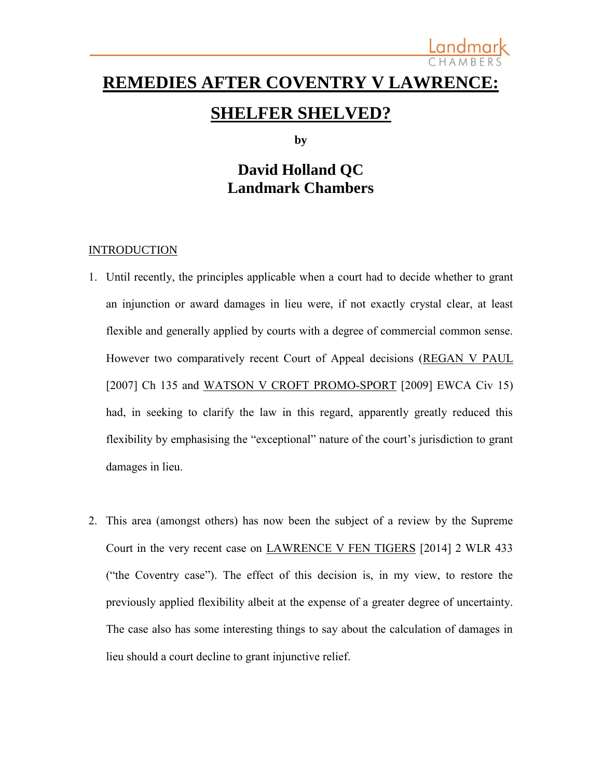

## **REMEDIES AFTER COVENTRY V LAWRENCE:**

## **SHELFER SHELVED?**

**by**

## **David Holland QC Landmark Chambers**

### **INTRODUCTION**

- 1. Until recently, the principles applicable when a court had to decide whether to grant an injunction or award damages in lieu were, if not exactly crystal clear, at least flexible and generally applied by courts with a degree of commercial common sense. However two comparatively recent Court of Appeal decisions (REGAN V PAUL [2007] Ch 135 and WATSON V CROFT PROMO-SPORT [2009] EWCA Civ 15) had, in seeking to clarify the law in this regard, apparently greatly reduced this flexibility by emphasising the "exceptional" nature of the court's jurisdiction to grant damages in lieu.
- 2. This area (amongst others) has now been the subject of a review by the Supreme Court in the very recent case on LAWRENCE V FEN TIGERS [2014] 2 WLR 433 ("the Coventry case"). The effect of this decision is, in my view, to restore the previously applied flexibility albeit at the expense of a greater degree of uncertainty. The case also has some interesting things to say about the calculation of damages in lieu should a court decline to grant injunctive relief.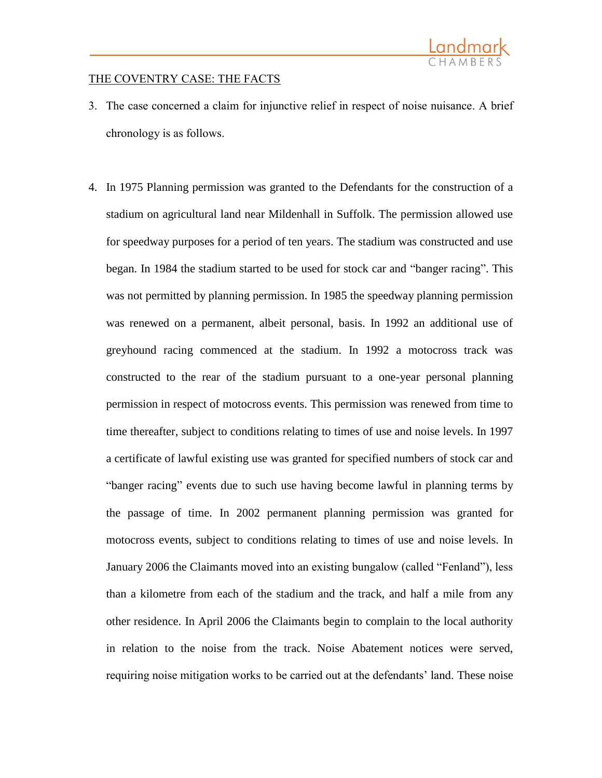

### THE COVENTRY CASE: THE FACTS

- 3. The case concerned a claim for injunctive relief in respect of noise nuisance. A brief chronology is as follows.
- 4. In 1975 Planning permission was granted to the Defendants for the construction of a stadium on agricultural land near Mildenhall in Suffolk. The permission allowed use for speedway purposes for a period of ten years. The stadium was constructed and use began. In 1984 the stadium started to be used for stock car and "banger racing". This was not permitted by planning permission. In 1985 the speedway planning permission was renewed on a permanent, albeit personal, basis. In 1992 an additional use of greyhound racing commenced at the stadium. In 1992 a motocross track was constructed to the rear of the stadium pursuant to a one-year personal planning permission in respect of motocross events. This permission was renewed from time to time thereafter, subject to conditions relating to times of use and noise levels. In 1997 a certificate of lawful existing use was granted for specified numbers of stock car and "banger racing" events due to such use having become lawful in planning terms by the passage of time. In 2002 permanent planning permission was granted for motocross events, subject to conditions relating to times of use and noise levels. In January 2006 the Claimants moved into an existing bungalow (called "Fenland"), less than a kilometre from each of the stadium and the track, and half a mile from any other residence. In April 2006 the Claimants begin to complain to the local authority in relation to the noise from the track. Noise Abatement notices were served, requiring noise mitigation works to be carried out at the defendants' land. These noise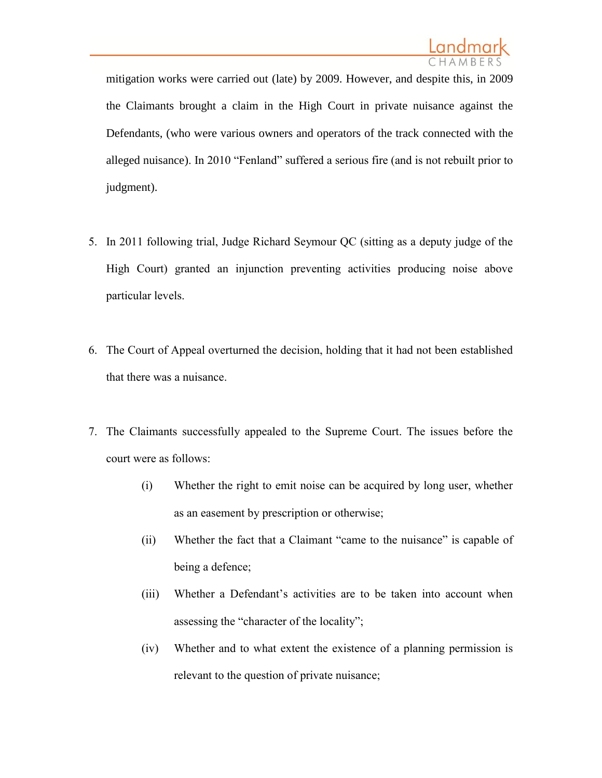mitigation works were carried out (late) by 2009. However, and despite this, in 2009 the Claimants brought a claim in the High Court in private nuisance against the Defendants, (who were various owners and operators of the track connected with the alleged nuisance). In 2010 "Fenland" suffered a serious fire (and is not rebuilt prior to judgment).

- 5. In 2011 following trial, Judge Richard Seymour QC (sitting as a deputy judge of the High Court) granted an injunction preventing activities producing noise above particular levels.
- 6. The Court of Appeal overturned the decision, holding that it had not been established that there was a nuisance.
- 7. The Claimants successfully appealed to the Supreme Court. The issues before the court were as follows:
	- (i) Whether the right to emit noise can be acquired by long user, whether as an easement by prescription or otherwise;
	- (ii) Whether the fact that a Claimant "came to the nuisance" is capable of being a defence;
	- (iii) Whether a Defendant's activities are to be taken into account when assessing the "character of the locality";
	- (iv) Whether and to what extent the existence of a planning permission is relevant to the question of private nuisance;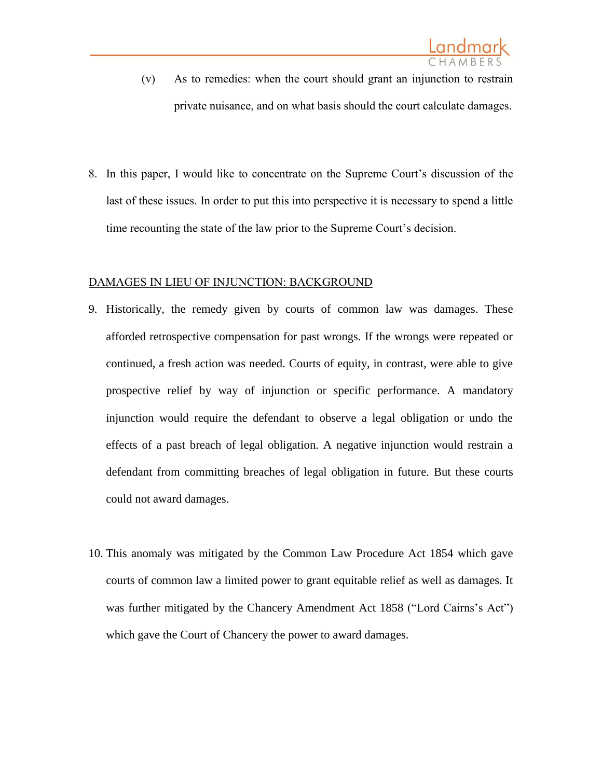- (v) As to remedies: when the court should grant an injunction to restrain private nuisance, and on what basis should the court calculate damages.
- 8. In this paper, I would like to concentrate on the Supreme Court's discussion of the last of these issues. In order to put this into perspective it is necessary to spend a little time recounting the state of the law prior to the Supreme Court's decision.

### DAMAGES IN LIEU OF INJUNCTION: BACKGROUND

- 9. Historically, the remedy given by courts of common law was damages. These afforded retrospective compensation for past wrongs. If the wrongs were repeated or continued, a fresh action was needed. Courts of equity, in contrast, were able to give prospective relief by way of injunction or specific performance. A mandatory injunction would require the defendant to observe a legal obligation or undo the effects of a past breach of legal obligation. A negative injunction would restrain a defendant from committing breaches of legal obligation in future. But these courts could not award damages.
- 10. This anomaly was mitigated by the [Common Law Procedure Act 1854](http://login.westlaw.co.uk/maf/wluk/app/document?src=doc&linktype=ref&context=29&crumb-action=replace&docguid=I611B0540E42311DAA7CF8F68F6EE57AB) which gave courts of common law a limited power to grant equitable relief as well as damages. It was further mitigated by the Chancery Amendment Act 1858 ("Lord Cairns's Act") which gave the Court of Chancery the power to award damages.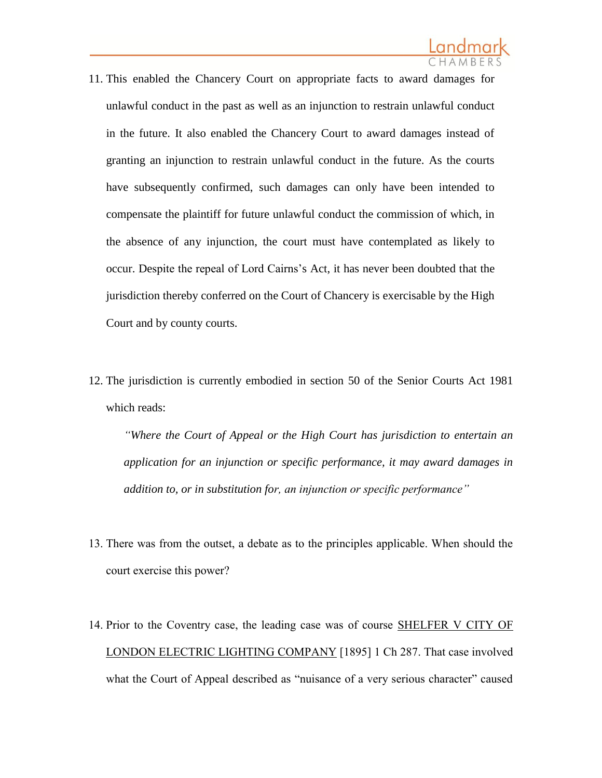

- 11. This enabled the Chancery Court on appropriate facts to award damages for unlawful conduct in the past as well as an injunction to restrain unlawful conduct in the future. It also enabled the Chancery Court to award damages instead of granting an injunction to restrain unlawful conduct in the future. As the courts have subsequently confirmed, such damages can only have been intended to compensate the plaintiff for future unlawful conduct the commission of which, in the absence of any injunction, the court must have contemplated as likely to occur. Despite the repeal of Lord Cairns's Act, it has never been doubted that the jurisdiction thereby conferred on the Court of Chancery is exercisable by the High Court and by county courts.
- 12. The jurisdiction is currently embodied in section 50 of the Senior Courts Act 1981 which reads:

*"Where the Court of Appeal or the High Court has jurisdiction to entertain an application for an injunction or specific performance, it may award damages in addition to, or in substitution for, an injunction or specific performance"*

- 13. There was from the outset, a debate as to the principles applicable. When should the court exercise this power?
- 14. Prior to the Coventry case, the leading case was of course SHELFER V CITY OF LONDON ELECTRIC LIGHTING COMPANY [1895] 1 Ch 287. That case involved what the Court of Appeal described as "nuisance of a very serious character" caused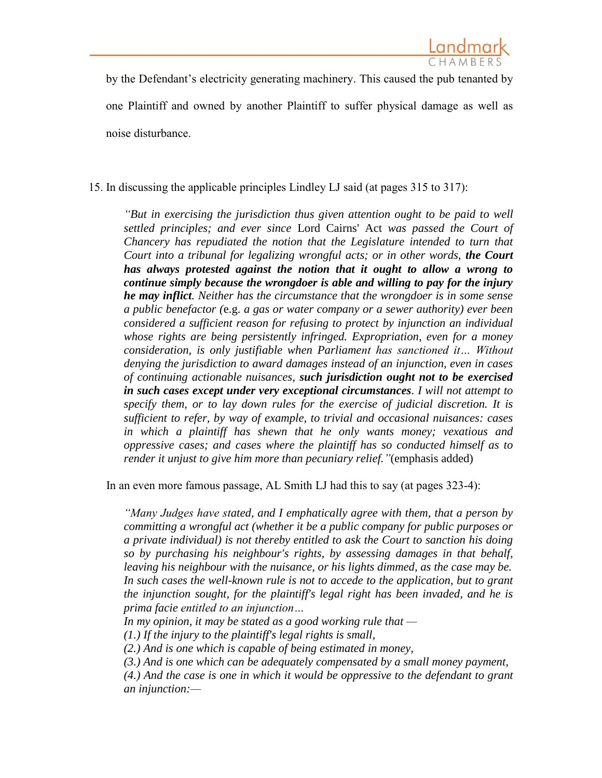

by the Defendant's electricity generating machinery. This caused the pub tenanted by

one Plaintiff and owned by another Plaintiff to suffer physical damage as well as noise disturbance.

15. In discussing the applicable principles Lindley LJ said (at pages 315 to 317):

*"But in exercising the jurisdiction thus given attention ought to be paid to well settled principles; and ever since* Lord Cairns' Act *was passed the Court of Chancery has repudiated the notion that the Legislature intended to turn that Court into a tribunal for legalizing wrongful acts; or in other words, the Court has always protested against the notion that it ought to allow a wrong to continue simply because the wrongdoer is able and willing to pay for the injury he may inflict. Neither has the circumstance that the wrongdoer is in some sense a public benefactor (*e.g. *a gas or water company or a sewer authority) ever been considered a sufficient reason for refusing to protect by injunction an individual whose rights are being persistently infringed. Expropriation, even for a money consideration, is only justifiable when Parliament has sanctioned it… Without denying the jurisdiction to award damages instead of an injunction, even in cases of continuing actionable nuisances, such jurisdiction ought not to be exercised in such cases except under very exceptional circumstances. I will not attempt to specify them, or to lay down rules for the exercise of judicial discretion. It is sufficient to refer, by way of example, to trivial and occasional nuisances: cases in which a plaintiff has shewn that he only wants money; vexatious and oppressive cases; and cases where the plaintiff has so conducted himself as to render it unjust to give him more than pecuniary relief."*(emphasis added)

In an even more famous passage, AL Smith LJ had this to say (at pages 323-4):

*"Many Judges have stated, and I emphatically agree with them, that a person by committing a wrongful act (whether it be a public company for public purposes or a private individual) is not thereby entitled to ask the Court to sanction his doing so by purchasing his neighbour's rights, by assessing damages in that behalf, leaving his neighbour with the nuisance, or his lights dimmed, as the case may be.* In such cases the well-known rule is not to accede to the application, but to grant *the injunction sought, for the plaintiff's legal right has been invaded, and he is prima facie entitled to an injunction…* 

*In my opinion, it may be stated as a good working rule that —*

*(1.) If the injury to the plaintiff's legal rights is small,*

*(2.) And is one which is capable of being estimated in money,*

*(3.) And is one which can be adequately compensated by a small money payment, (4.) And the case is one in which it would be oppressive to the defendant to grant an injunction:—*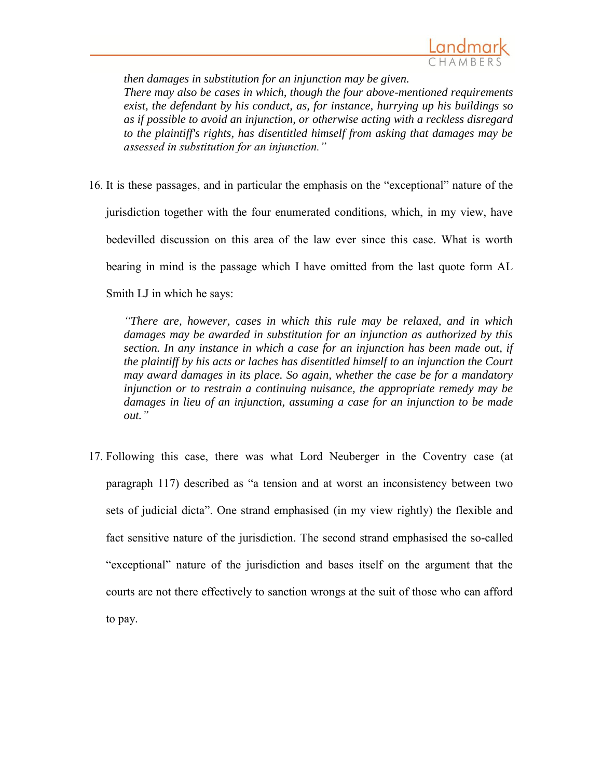

*then damages in substitution for an injunction may be given. There may also be cases in which, though the four above-mentioned requirements exist, the defendant by his conduct, as, for instance, hurrying up his buildings so as if possible to avoid an injunction, or otherwise acting with a reckless disregard to the plaintiff's rights, has disentitled himself from asking that damages may be assessed in substitution for an injunction."*

16. It is these passages, and in particular the emphasis on the "exceptional" nature of the jurisdiction together with the four enumerated conditions, which, in my view, have bedevilled discussion on this area of the law ever since this case. What is worth bearing in mind is the passage which I have omitted from the last quote form AL Smith LJ in which he says:

*"There are, however, cases in which this rule may be relaxed, and in which damages may be awarded in substitution for an injunction as authorized by this section. In any instance in which a case for an injunction has been made out, if the plaintiff by his acts or laches has disentitled himself to an injunction the Court may award damages in its place. So again, whether the case be for a mandatory injunction or to restrain a continuing nuisance, the appropriate remedy may be damages in lieu of an injunction, assuming a case for an injunction to be made out."*

17. Following this case, there was what Lord Neuberger in the Coventry case (at paragraph 117) described as "a tension and at worst an inconsistency between two sets of judicial dicta". One strand emphasised (in my view rightly) the flexible and fact sensitive nature of the jurisdiction. The second strand emphasised the so-called "exceptional" nature of the jurisdiction and bases itself on the argument that the courts are not there effectively to sanction wrongs at the suit of those who can afford to pay.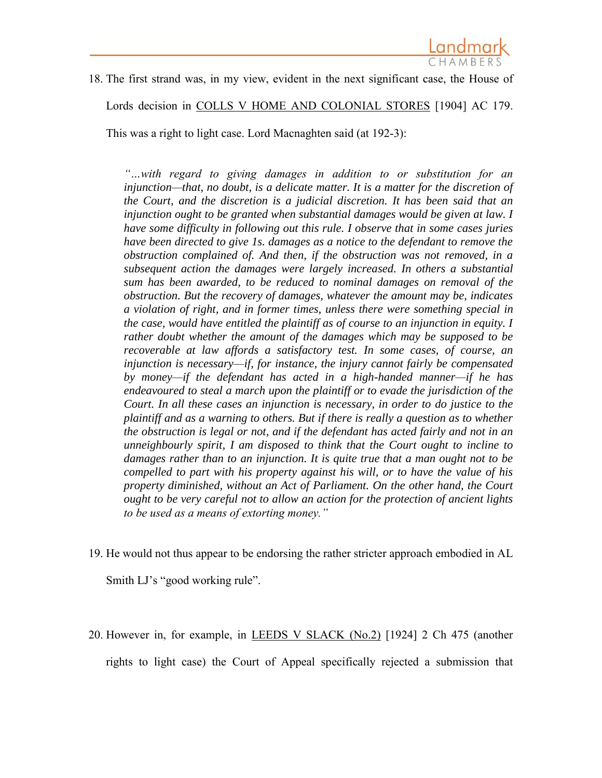

18. The first strand was, in my view, evident in the next significant case, the House of

Lords decision in COLLS V HOME AND COLONIAL STORES [1904] AC 179.

This was a right to light case. Lord Macnaghten said (at 192-3):

*"…with regard to giving damages in addition to or substitution for an injunction—that, no doubt, is a delicate matter. It is a matter for the discretion of the Court, and the discretion is a judicial discretion. It has been said that an injunction ought to be granted when substantial damages would be given at law. I have some difficulty in following out this rule. I observe that in some cases juries have been directed to give 1s. damages as a notice to the defendant to remove the obstruction complained of. And then, if the obstruction was not removed, in a subsequent action the damages were largely increased. In others a substantial sum has been awarded, to be reduced to nominal damages on removal of the obstruction. But the recovery of damages, whatever the amount may be, indicates a violation of right, and in former times, unless there were something special in the case, would have entitled the plaintiff as of course to an injunction in equity. I rather doubt whether the amount of the damages which may be supposed to be recoverable at law affords a satisfactory test. In some cases, of course, an injunction is necessary—if, for instance, the injury cannot fairly be compensated by money—if the defendant has acted in a high-handed manner—if he has endeavoured to steal a march upon the plaintiff or to evade the jurisdiction of the Court. In all these cases an injunction is necessary, in order to do justice to the plaintiff and as a warning to others. But if there is really a question as to whether the obstruction is legal or not, and if the defendant has acted fairly and not in an unneighbourly spirit, I am disposed to think that the Court ought to incline to damages rather than to an injunction. It is quite true that a man ought not to be compelled to part with his property against his will, or to have the value of his property diminished, without an Act of Parliament. On the other hand, the Court ought to be very careful not to allow an action for the protection of ancient lights to be used as a means of extorting money."*

19. He would not thus appear to be endorsing the rather stricter approach embodied in AL

Smith LJ's "good working rule".

20. However in, for example, in LEEDS V SLACK (No.2) [1924] 2 Ch 475 (another rights to light case) the Court of Appeal specifically rejected a submission that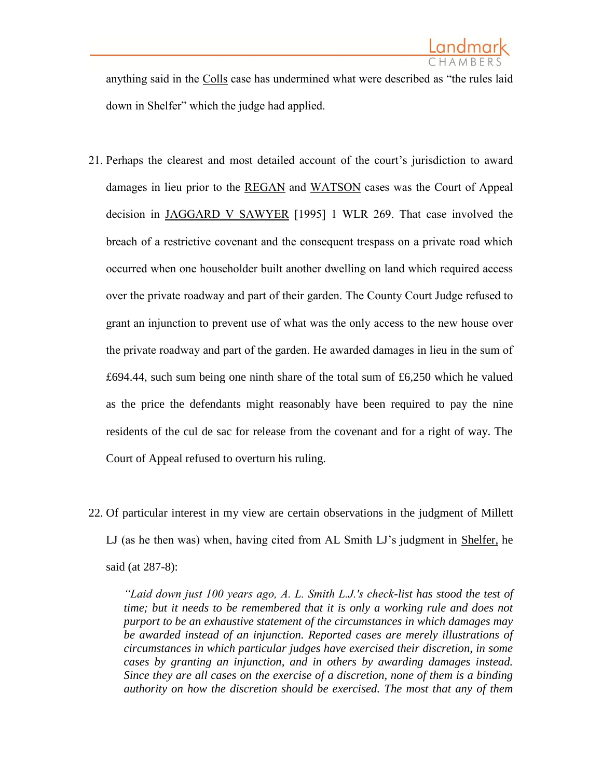anything said in the Colls case has undermined what were described as "the rules laid down in Shelfer" which the judge had applied.

- 21. Perhaps the clearest and most detailed account of the court's jurisdiction to award damages in lieu prior to the **REGAN** and WATSON cases was the Court of Appeal decision in JAGGARD V SAWYER [1995] 1 WLR 269. That case involved the breach of a restrictive covenant and the consequent trespass on a private road which occurred when one householder built another dwelling on land which required access over the private roadway and part of their garden. The County Court Judge refused to grant an injunction to prevent use of what was the only access to the new house over the private roadway and part of the garden. He awarded damages in lieu in the sum of £694.44, such sum being one ninth share of the total sum of £6,250 which he valued as the price the defendants might reasonably have been required to pay the nine residents of the cul de sac for release from the covenant and for a right of way. The Court of Appeal refused to overturn his ruling.
- 22. Of particular interest in my view are certain observations in the judgment of Millett LJ (as he then was) when, having cited from AL Smith LJ's judgment in Shelfer, he said (at 287-8):

*"Laid down just 100 years ago, A. L. Smith L.J.'s check-list has stood the test of time; but it needs to be remembered that it is only a working rule and does not purport to be an exhaustive statement of the circumstances in which damages may be awarded instead of an injunction. Reported cases are merely illustrations of circumstances in which particular judges have exercised their discretion, in some cases by granting an injunction, and in others by awarding damages instead. Since they are all cases on the exercise of a discretion, none of them is a binding authority on how the discretion should be exercised. The most that any of them*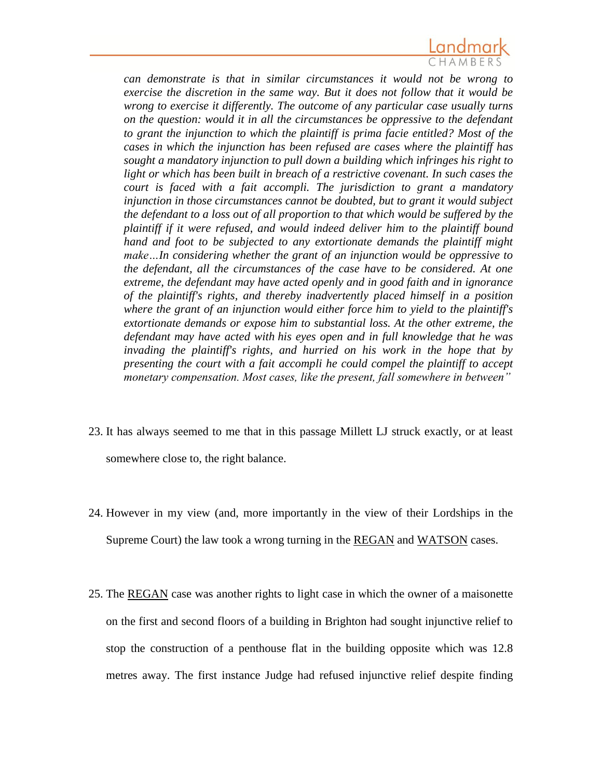

*can demonstrate is that in similar circumstances it would not be wrong to exercise the discretion in the same way. But it does not follow that it would be wrong to exercise it differently. The outcome of any particular case usually turns on the question: would it in all the circumstances be oppressive to the defendant*  to grant the injunction to which the plaintiff is prima facie entitled? Most of the *cases in which the injunction has been refused are cases where the plaintiff has sought a mandatory injunction to pull down a building which infringes his right to*  light or which has been built in breach of a restrictive covenant. In such cases the *court is faced with a fait accompli. The jurisdiction to grant a mandatory injunction in those circumstances cannot be doubted, but to grant it would subject the defendant to a loss out of all proportion to that which would be suffered by the plaintiff if it were refused, and would indeed deliver him to the plaintiff bound hand and foot to be subjected to any extortionate demands the plaintiff might make…In considering whether the grant of an injunction would be oppressive to the defendant, all the circumstances of the case have to be considered. At one extreme, the defendant may have acted openly and in good faith and in ignorance of the plaintiff's rights, and thereby inadvertently placed himself in a position where the grant of an injunction would either force him to yield to the plaintiff's extortionate demands or expose him to substantial loss. At the other extreme, the defendant may have acted with his eyes open and in full knowledge that he was invading the plaintiff's rights, and hurried on his work in the hope that by presenting the court with a fait accompli he could compel the plaintiff to accept monetary compensation. Most cases, like the present, fall somewhere in between"*

- 23. It has always seemed to me that in this passage Millett LJ struck exactly, or at least somewhere close to, the right balance.
- 24. However in my view (and, more importantly in the view of their Lordships in the Supreme Court) the law took a wrong turning in the REGAN and WATSON cases.
- 25. The REGAN case was another rights to light case in which the owner of a maisonette on the first and second floors of a building in Brighton had sought injunctive relief to stop the construction of a penthouse flat in the building opposite which was 12.8 metres away. The first instance Judge had refused injunctive relief despite finding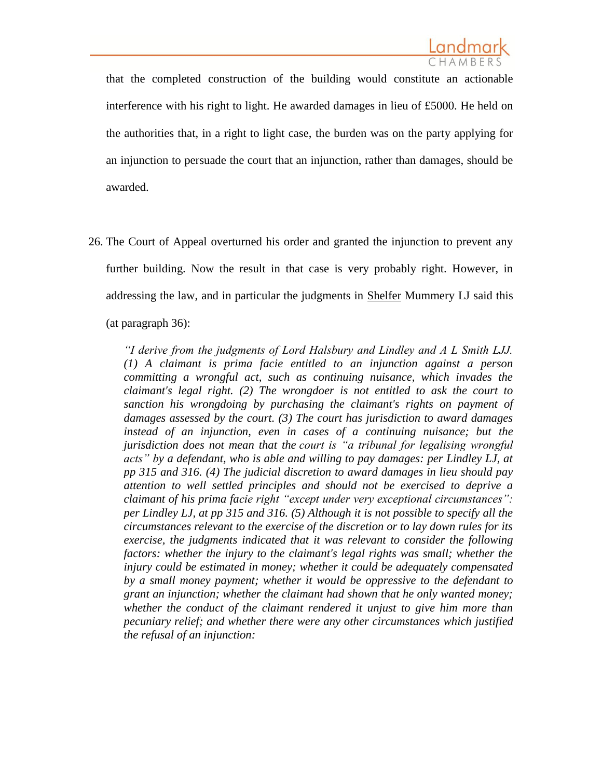

that the completed construction of the building would constitute an actionable interference with his right to light. He awarded damages in lieu of £5000. He held on the authorities that, in a right to light case, the burden was on the party applying for an injunction to persuade the court that an injunction, rather than damages, should be awarded.

26. The Court of Appeal overturned his order and granted the injunction to prevent any further building. Now the result in that case is very probably right. However, in addressing the law, and in particular the judgments in **Shelfer Mummery LJ** said this (at paragraph 36):

*"I derive from the judgments of Lord Halsbury and Lindley and A L Smith LJJ. (1) A claimant is prima facie entitled to an injunction against a person committing a wrongful act, such as continuing nuisance, which invades the claimant's legal right. (2) The wrongdoer is not entitled to ask the court to sanction his wrongdoing by purchasing the claimant's rights on payment of damages assessed by the court. (3) The court has jurisdiction to award damages instead of an injunction, even in cases of a continuing nuisance; but the jurisdiction does not mean that the court is "a tribunal for legalising wrongful acts" by a defendant, who is able and willing to pay damages: per Lindley LJ, at pp 315 and 316. (4) The judicial discretion to award damages in lieu should pay attention to well settled principles and should not be exercised to deprive a claimant of his prima facie right "except under very exceptional circumstances": per Lindley LJ, at pp 315 and 316. (5) Although it is not possible to specify all the circumstances relevant to the exercise of the discretion or to lay down rules for its exercise, the judgments indicated that it was relevant to consider the following factors: whether the injury to the claimant's legal rights was small; whether the injury could be estimated in money; whether it could be adequately compensated by a small money payment; whether it would be oppressive to the defendant to grant an injunction; whether the claimant had shown that he only wanted money; whether the conduct of the claimant rendered it unjust to give him more than pecuniary relief; and whether there were any other circumstances which justified the refusal of an injunction:*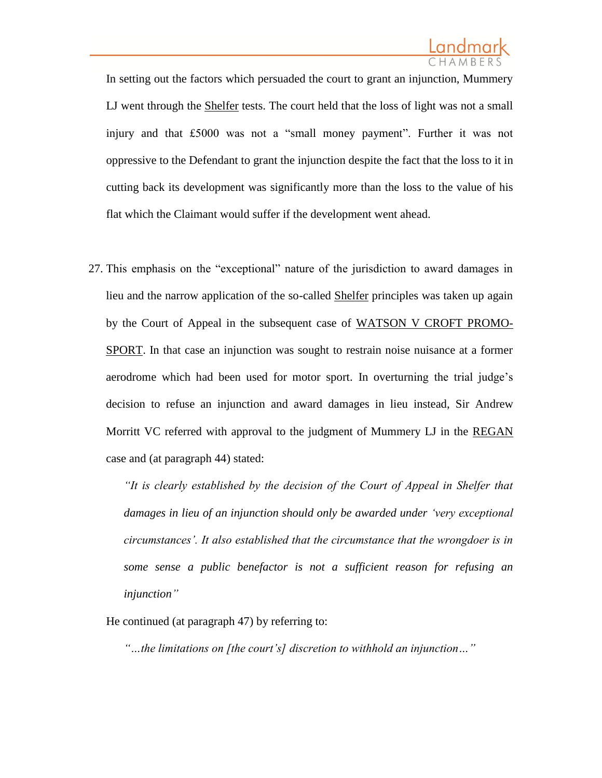

In setting out the factors which persuaded the court to grant an injunction, Mummery LJ went through the Shelfer tests. The court held that the loss of light was not a small injury and that £5000 was not a "small money payment". Further it was not oppressive to the Defendant to grant the injunction despite the fact that the loss to it in cutting back its development was significantly more than the loss to the value of his flat which the Claimant would suffer if the development went ahead.

27. This emphasis on the "exceptional" nature of the jurisdiction to award damages in lieu and the narrow application of the so-called Shelfer principles was taken up again by the Court of Appeal in the subsequent case of WATSON V CROFT PROMO-SPORT. In that case an injunction was sought to restrain noise nuisance at a former aerodrome which had been used for motor sport. In overturning the trial judge's decision to refuse an injunction and award damages in lieu instead, Sir Andrew Morritt VC referred with approval to the judgment of Mummery LJ in the REGAN case and (at paragraph 44) stated:

*"It is clearly established by the decision of the Court of Appeal in Shelfer that damages in lieu of an injunction should only be awarded under 'very exceptional circumstances'. It also established that the circumstance that the wrongdoer is in some sense a public benefactor is not a sufficient reason for refusing an injunction"*

He continued (at paragraph 47) by referring to:

*"…the limitations on [the court's] discretion to withhold an injunction…"*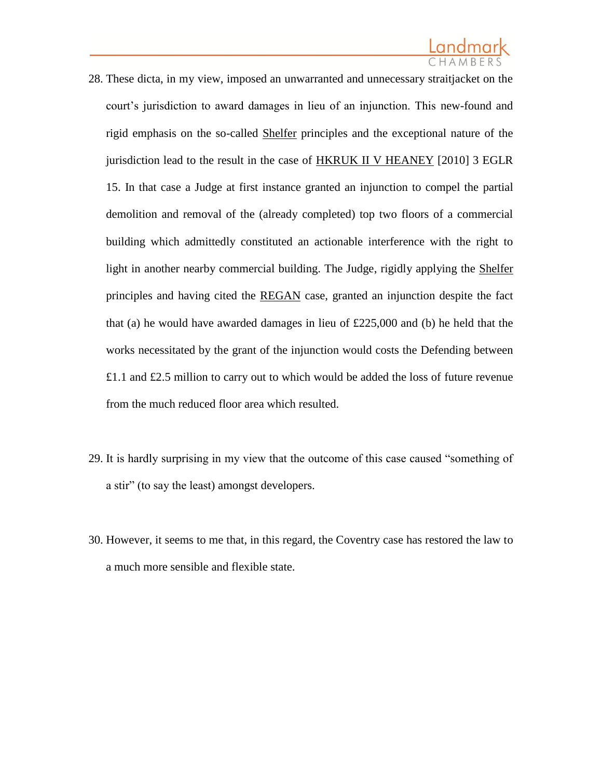- 28. These dicta, in my view, imposed an unwarranted and unnecessary straitjacket on the court's jurisdiction to award damages in lieu of an injunction. This new-found and rigid emphasis on the so-called Shelfer principles and the exceptional nature of the jurisdiction lead to the result in the case of HKRUK II V HEANEY [2010] 3 EGLR 15. In that case a Judge at first instance granted an injunction to compel the partial demolition and removal of the (already completed) top two floors of a commercial building which admittedly constituted an actionable interference with the right to light in another nearby commercial building. The Judge, rigidly applying the Shelfer principles and having cited the REGAN case, granted an injunction despite the fact that (a) he would have awarded damages in lieu of  $£225,000$  and (b) he held that the works necessitated by the grant of the injunction would costs the Defending between  $\pounds1.1$  and  $\pounds2.5$  million to carry out to which would be added the loss of future revenue from the much reduced floor area which resulted.
- 29. It is hardly surprising in my view that the outcome of this case caused "something of a stir" (to say the least) amongst developers.
- 30. However, it seems to me that, in this regard, the Coventry case has restored the law to a much more sensible and flexible state.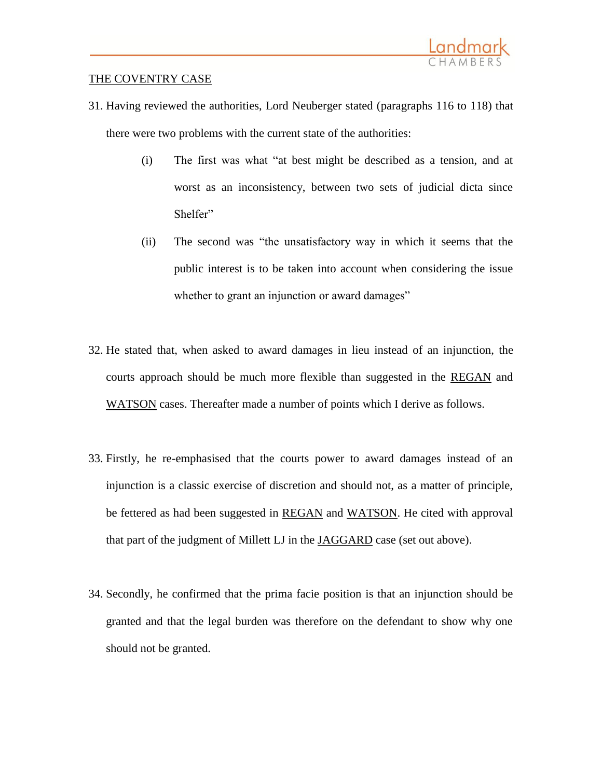### THE COVENTRY CASE

- 31. Having reviewed the authorities, Lord Neuberger stated (paragraphs 116 to 118) that there were two problems with the current state of the authorities:
	- (i) The first was what "at best might be described as a tension, and at worst as an inconsistency, between two sets of judicial dicta since Shelfer"
	- (ii) The second was "the unsatisfactory way in which it seems that the public interest is to be taken into account when considering the issue whether to grant an injunction or award damages"
- 32. He stated that, when asked to award damages in lieu instead of an injunction, the courts approach should be much more flexible than suggested in the REGAN and WATSON cases. Thereafter made a number of points which I derive as follows.
- 33. Firstly, he re-emphasised that the courts power to award damages instead of an injunction is a classic exercise of discretion and should not, as a matter of principle, be fettered as had been suggested in REGAN and WATSON. He cited with approval that part of the judgment of Millett LJ in the JAGGARD case (set out above).
- 34. Secondly, he confirmed that the prima facie position is that an injunction should be granted and that the legal burden was therefore on the defendant to show why one should not be granted.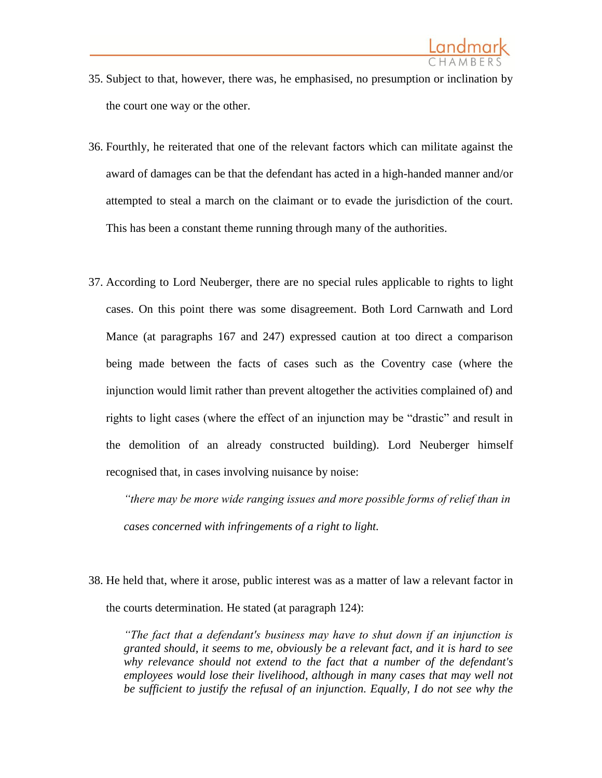- 35. Subject to that, however, there was, he emphasised, no presumption or inclination by the court one way or the other.
- 36. Fourthly, he reiterated that one of the relevant factors which can militate against the award of damages can be that the defendant has acted in a high-handed manner and/or attempted to steal a march on the claimant or to evade the jurisdiction of the court. This has been a constant theme running through many of the authorities.
- 37. According to Lord Neuberger, there are no special rules applicable to rights to light cases. On this point there was some disagreement. Both Lord Carnwath and Lord Mance (at paragraphs 167 and 247) expressed caution at too direct a comparison being made between the facts of cases such as the Coventry case (where the injunction would limit rather than prevent altogether the activities complained of) and rights to light cases (where the effect of an injunction may be "drastic" and result in the demolition of an already constructed building). Lord Neuberger himself recognised that, in cases involving nuisance by noise:

*"there may be more wide ranging issues and more possible forms of relief than in cases concerned with infringements of a right to light.*

38. He held that, where it arose, public interest was as a matter of law a relevant factor in the courts determination. He stated (at paragraph 124):

*"The fact that a defendant's business may have to shut down if an injunction is granted should, it seems to me, obviously be a relevant fact, and it is hard to see why relevance should not extend to the fact that a number of the defendant's*  employees would lose their livelihood, although in many cases that may well not *be sufficient to justify the refusal of an injunction. Equally, I do not see why the*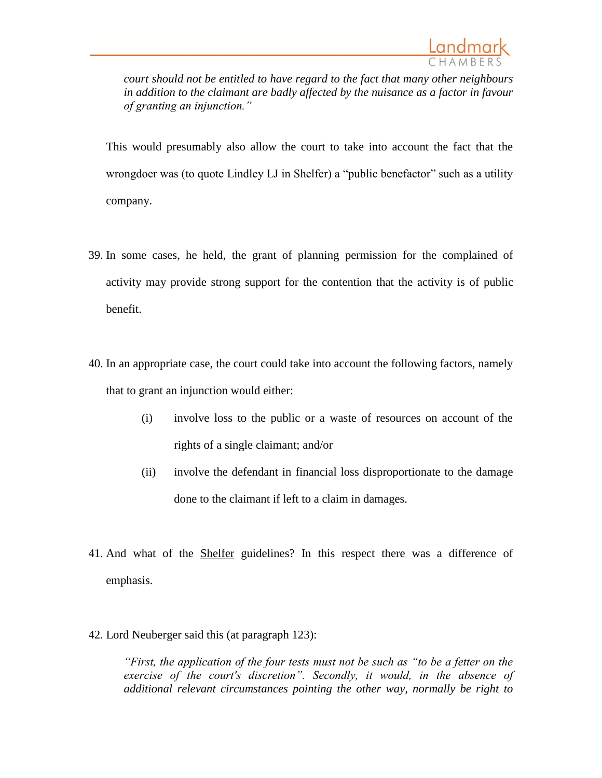

*court should not be entitled to have regard to the fact that many other neighbours in addition to the claimant are badly affected by the nuisance as a factor in favour of granting an injunction."*

This would presumably also allow the court to take into account the fact that the wrongdoer was (to quote Lindley LJ in Shelfer) a "public benefactor" such as a utility company.

- 39. In some cases, he held, the grant of planning permission for the complained of activity may provide strong support for the contention that the activity is of public benefit.
- 40. In an appropriate case, the court could take into account the following factors, namely that to grant an injunction would either:
	- (i) involve loss to the public or a waste of resources on account of the rights of a single claimant; and/or
	- (ii) involve the defendant in financial loss disproportionate to the damage done to the claimant if left to a claim in damages.
- 41. And what of the Shelfer guidelines? In this respect there was a difference of emphasis.
- 42. Lord Neuberger said this (at paragraph 123):

*"First, the application of the four tests must not be such as "to be a fetter on the*  exercise of the court's discretion". Secondly, it would, in the absence of *additional relevant circumstances pointing the other way, normally be right to*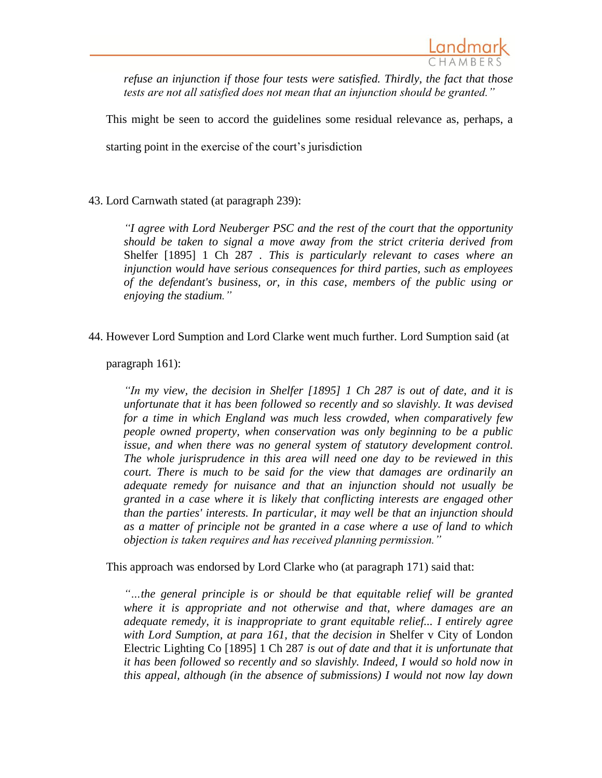

*refuse an injunction if those four tests were satisfied. Thirdly, the fact that those tests are not all satisfied does not mean that an injunction should be granted."*

This might be seen to accord the guidelines some residual relevance as, perhaps, a starting point in the exercise of the court's jurisdiction

### 43. Lord Carnwath stated (at paragraph 239):

*"I agree with Lord Neuberger PSC and the rest of the court that the opportunity should be taken to signal a move away from the strict criteria derived from*  [Shelfer \[1895\] 1 Ch 287](http://login.westlaw.co.uk/maf/wluk/app/document?src=doc&linktype=ref&context=25&crumb-action=replace&docguid=IA79278F0E42811DA8FC2A0F0355337E9) *. This is particularly relevant to cases where an injunction would have serious consequences for third parties, such as employees of the defendant's business, or, in this case, members of the public using or enjoying the stadium."*

44. However Lord Sumption and Lord Clarke went much further. Lord Sumption said (at

paragraph 161):

*"In my view, the decision in [Shelfer \[1895\] 1 Ch 287](http://login.westlaw.co.uk/maf/wluk/app/document?src=doc&linktype=ref&context=25&crumb-action=replace&docguid=IA79278F0E42811DA8FC2A0F0355337E9) is out of date, and it is unfortunate that it has been followed so recently and so slavishly. It was devised for a time in which England was much less crowded, when comparatively few people owned property, when conservation was only beginning to be a public issue, and when there was no general system of statutory development control. The whole jurisprudence in this area will need one day to be reviewed in this court. There is much to be said for the view that damages are ordinarily an adequate remedy for nuisance and that an injunction should not usually be granted in a case where it is likely that conflicting interests are engaged other than the parties' interests. In particular, it may well be that an injunction should as a matter of principle not be granted in a case where a use of land to which objection is taken requires and has received planning permission."*

This approach was endorsed by Lord Clarke who (at paragraph 171) said that:

*"…the general principle is or should be that equitable relief will be granted where it is appropriate and not otherwise and that, where damages are an adequate remedy, it is inappropriate to grant equitable relief... I entirely agree with Lord Sumption, at para 161, that the decision in* [Shelfer v City of London](http://login.westlaw.co.uk/maf/wluk/app/document?src=doc&linktype=ref&context=25&crumb-action=replace&docguid=IA79278F0E42811DA8FC2A0F0355337E9)  [Electric Lighting Co \[1895\] 1 Ch 287](http://login.westlaw.co.uk/maf/wluk/app/document?src=doc&linktype=ref&context=25&crumb-action=replace&docguid=IA79278F0E42811DA8FC2A0F0355337E9) *is out of date and that it is unfortunate that it has been followed so recently and so slavishly. Indeed, I would so hold now in this appeal, although (in the absence of submissions) I would not now lay down*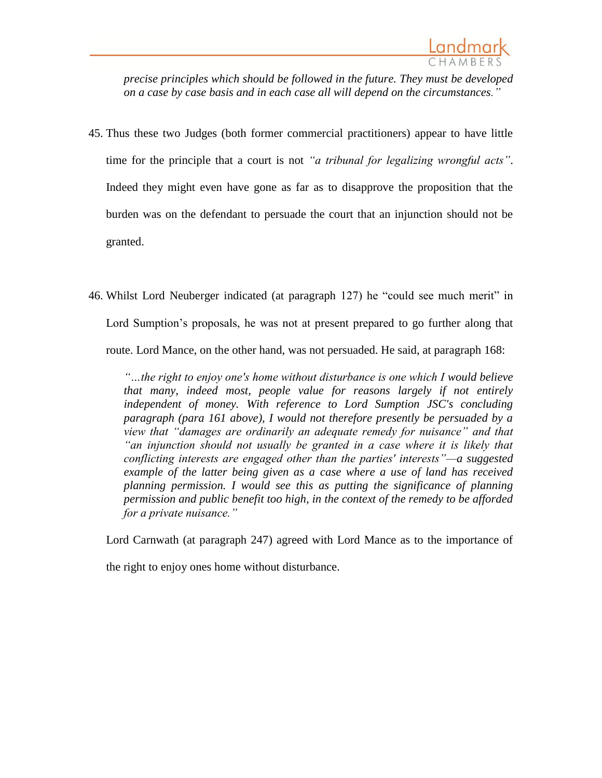

*precise principles which should be followed in the future. They must be developed on a case by case basis and in each case all will depend on the circumstances."*

- 45. Thus these two Judges (both former commercial practitioners) appear to have little time for the principle that a court is not *"a tribunal for legalizing wrongful acts"*. Indeed they might even have gone as far as to disapprove the proposition that the burden was on the defendant to persuade the court that an injunction should not be granted.
- 46. Whilst Lord Neuberger indicated (at paragraph 127) he "could see much merit" in Lord Sumption's proposals, he was not at present prepared to go further along that route. Lord Mance, on the other hand, was not persuaded. He said, at paragraph 168:

*"…the right to enjoy one's home without disturbance is one which I would believe that many, indeed most, people value for reasons largely if not entirely independent of money. With reference to Lord Sumption JSC's concluding paragraph (para 161 above), I would not therefore presently be persuaded by a view that "damages are ordinarily an adequate remedy for nuisance" and that an injunction should not usually be granted in a case where it is likely that conflicting interests are engaged other than the parties' interests"—a suggested example of the latter being given as a case where a use of land has received planning permission. I would see this as putting the significance of planning permission and public benefit too high, in the context of the remedy to be afforded for a private nuisance."*

Lord Carnwath (at paragraph 247) agreed with Lord Mance as to the importance of

the right to enjoy ones home without disturbance.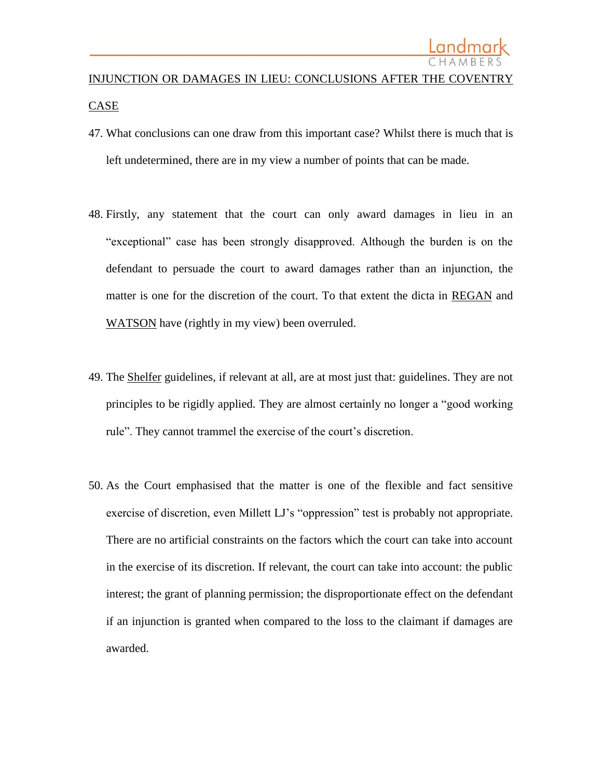# INJUNCTION OR DAMAGES IN LIEU: CONCLUSIONS AFTER THE COVENTRY CASE

- 47. What conclusions can one draw from this important case? Whilst there is much that is left undetermined, there are in my view a number of points that can be made.
- 48. Firstly, any statement that the court can only award damages in lieu in an "exceptional" case has been strongly disapproved. Although the burden is on the defendant to persuade the court to award damages rather than an injunction, the matter is one for the discretion of the court. To that extent the dicta in REGAN and WATSON have (rightly in my view) been overruled.
- 49. The Shelfer guidelines, if relevant at all, are at most just that: guidelines. They are not principles to be rigidly applied. They are almost certainly no longer a "good working rule". They cannot trammel the exercise of the court's discretion.
- 50. As the Court emphasised that the matter is one of the flexible and fact sensitive exercise of discretion, even Millett LJ's "oppression" test is probably not appropriate. There are no artificial constraints on the factors which the court can take into account in the exercise of its discretion. If relevant, the court can take into account: the public interest; the grant of planning permission; the disproportionate effect on the defendant if an injunction is granted when compared to the loss to the claimant if damages are awarded.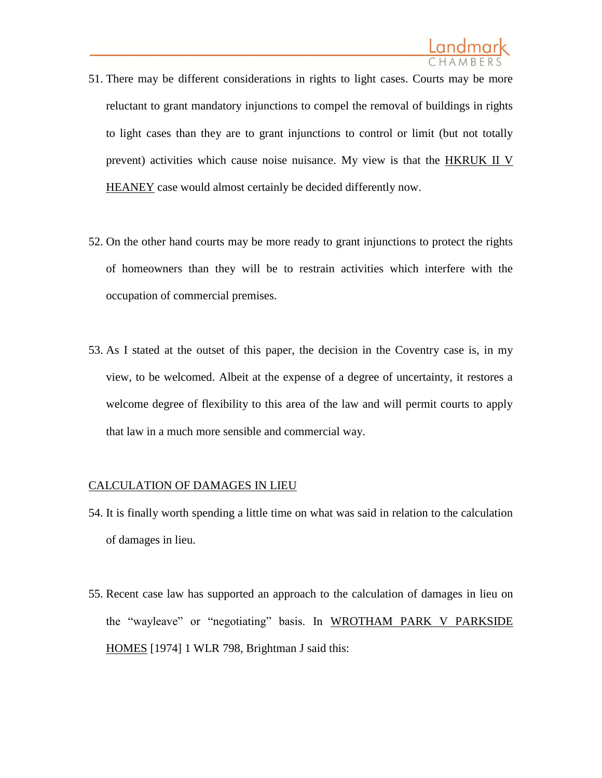

- 51. There may be different considerations in rights to light cases. Courts may be more reluctant to grant mandatory injunctions to compel the removal of buildings in rights to light cases than they are to grant injunctions to control or limit (but not totally prevent) activities which cause noise nuisance. My view is that the HKRUK II V HEANEY case would almost certainly be decided differently now.
- 52. On the other hand courts may be more ready to grant injunctions to protect the rights of homeowners than they will be to restrain activities which interfere with the occupation of commercial premises.
- 53. As I stated at the outset of this paper, the decision in the Coventry case is, in my view, to be welcomed. Albeit at the expense of a degree of uncertainty, it restores a welcome degree of flexibility to this area of the law and will permit courts to apply that law in a much more sensible and commercial way.

### CALCULATION OF DAMAGES IN LIEU

- 54. It is finally worth spending a little time on what was said in relation to the calculation of damages in lieu.
- 55. Recent case law has supported an approach to the calculation of damages in lieu on the "wayleave" or "negotiating" basis. In WROTHAM PARK V PARKSIDE HOMES [1974] 1 WLR 798, Brightman J said this: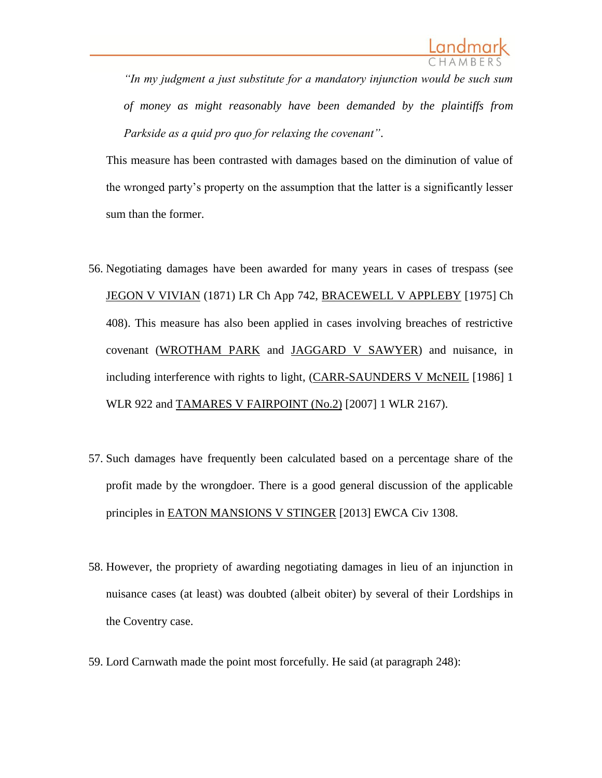*"In my judgment a just substitute for a mandatory injunction would be such sum of money as might reasonably have been demanded by the plaintiffs from Parkside as a quid pro quo for relaxing the covenant"*.

This measure has been contrasted with damages based on the diminution of value of the wronged party's property on the assumption that the latter is a significantly lesser sum than the former.

- 56. Negotiating damages have been awarded for many years in cases of trespass (see JEGON V VIVIAN (1871) LR Ch App 742, BRACEWELL V APPLEBY [1975] Ch 408). This measure has also been applied in cases involving breaches of restrictive covenant (WROTHAM PARK and JAGGARD V SAWYER) and nuisance, in including interference with rights to light, (CARR-SAUNDERS V McNEIL [1986] 1 WLR 922 and TAMARES V FAIRPOINT (No.2) [2007] 1 WLR 2167).
- 57. Such damages have frequently been calculated based on a percentage share of the profit made by the wrongdoer. There is a good general discussion of the applicable principles in EATON MANSIONS V STINGER [2013] EWCA Civ 1308.
- 58. However, the propriety of awarding negotiating damages in lieu of an injunction in nuisance cases (at least) was doubted (albeit obiter) by several of their Lordships in the Coventry case.
- 59. Lord Carnwath made the point most forcefully. He said (at paragraph 248):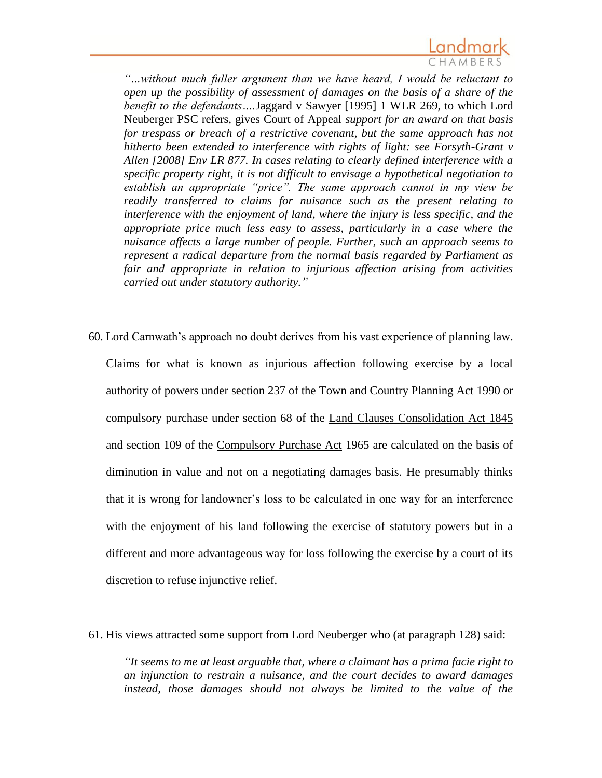

*"…without much fuller argument than we have heard, I would be reluctant to open up the possibility of assessment of damages on the basis of a share of the benefit to the defendants….*[Jaggard v Sawyer \[1995\] 1 WLR 269, to which Lord](http://login.westlaw.co.uk/maf/wluk/app/document?src=doc&linktype=ref&context=18&crumb-action=replace&docguid=ICBC0D240E42711DA8FC2A0F0355337E9)  [Neuberger PSC refers, gives Court of Appeal](http://login.westlaw.co.uk/maf/wluk/app/document?src=doc&linktype=ref&context=18&crumb-action=replace&docguid=ICBC0D240E42711DA8FC2A0F0355337E9) *support for an award on that basis*  for trespass or breach of a restrictive covenant, but the same approach has not *hitherto been extended to interference with rights of light: see Forsyth-Grant v Allen [2008] Env LR 877. In cases relating to clearly defined interference with a specific property right, it is not difficult to envisage a hypothetical negotiation to establish an appropriate "price". The same approach cannot in my view be readily transferred to claims for nuisance such as the present relating to interference with the enjoyment of land, where the injury is less specific, and the appropriate price much less easy to assess, particularly in a case where the nuisance affects a large number of people. Further, such an approach seems to represent a radical departure from the normal basis regarded by Parliament as fair and appropriate in relation to injurious affection arising from activities carried out under statutory authority."*

- 60. Lord Carnwath's approach no doubt derives from his vast experience of planning law. Claims for what is known as injurious affection following exercise by a local authority of powers under section 237 of the Town and Country Planning Act 1990 or compulsory purchase under section 68 of the Land Clauses Consolidation Act 1845 and section 109 of the Compulsory Purchase Act 1965 are calculated on the basis of diminution in value and not on a negotiating damages basis. He presumably thinks that it is wrong for landowner's loss to be calculated in one way for an interference with the enjoyment of his land following the exercise of statutory powers but in a different and more advantageous way for loss following the exercise by a court of its discretion to refuse injunctive relief.
- 61. His views attracted some support from Lord Neuberger who (at paragraph 128) said:

*"It seems to me at least arguable that, where a claimant has a prima facie right to an injunction to restrain a nuisance, and the court decides to award damages instead, those damages should not always be limited to the value of the*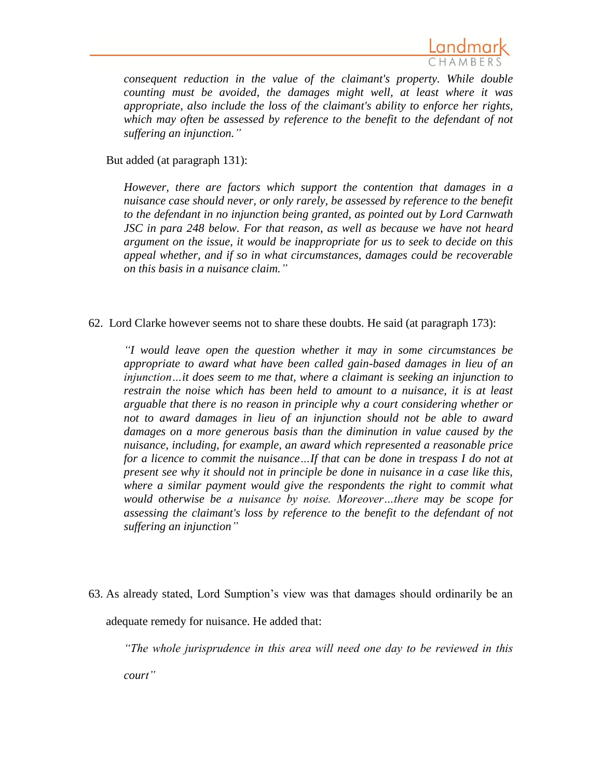

*consequent reduction in the value of the claimant's property. While double counting must be avoided, the damages might well, at least where it was appropriate, also include the loss of the claimant's ability to enforce her rights,*  which may often be assessed by reference to the benefit to the defendant of not *suffering an injunction."*

But added (at paragraph 131):

*However, there are factors which support the contention that damages in a nuisance case should never, or only rarely, be assessed by reference to the benefit to the defendant in no injunction being granted, as pointed out by Lord Carnwath JSC in para 248 below. For that reason, as well as because we have not heard argument on the issue, it would be inappropriate for us to seek to decide on this appeal whether, and if so in what circumstances, damages could be recoverable on this basis in a nuisance claim."*

62. Lord Clarke however seems not to share these doubts. He said (at paragraph 173):

*"I would leave open the question whether it may in some circumstances be appropriate to award what have been called gain-based damages in lieu of an injunction…it does seem to me that, where a claimant is seeking an injunction to restrain the noise which has been held to amount to a nuisance, it is at least arguable that there is no reason in principle why a court considering whether or not to award damages in lieu of an injunction should not be able to award damages on a more generous basis than the diminution in value caused by the nuisance, including, for example, an award which represented a reasonable price for a licence to commit the nuisance…If that can be done in trespass I do not at present see why it should not in principle be done in nuisance in a case like this, where a similar payment would give the respondents the right to commit what would otherwise be a nuisance by noise. Moreover…there may be scope for assessing the claimant's loss by reference to the benefit to the defendant of not suffering an injunction"*

63. As already stated, Lord Sumption's view was that damages should ordinarily be an adequate remedy for nuisance. He added that:

*"The whole jurisprudence in this area will need one day to be reviewed in this court"*